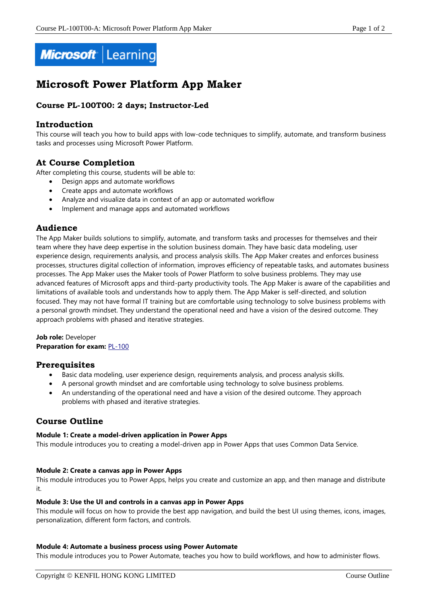

# **Microsoft Power Platform App Maker**

# **Course PL-100T00: 2 days; Instructor-Led**

## **Introduction**

This course will teach you how to build apps with low-code techniques to simplify, automate, and transform business tasks and processes using Microsoft Power Platform.

# **At Course Completion**

After completing this course, students will be able to:

- Design apps and automate workflows
	- Create apps and automate workflows
	- Analyze and visualize data in context of an app or automated workflow
	- Implement and manage apps and automated workflows

### **Audience**

The App Maker builds solutions to simplify, automate, and transform tasks and processes for themselves and their team where they have deep expertise in the solution business domain. They have basic data modeling, user experience design, requirements analysis, and process analysis skills. The App Maker creates and enforces business processes, structures digital collection of information, improves efficiency of repeatable tasks, and automates business processes. The App Maker uses the Maker tools of Power Platform to solve business problems. They may use advanced features of Microsoft apps and third-party productivity tools. The App Maker is aware of the capabilities and limitations of available tools and understands how to apply them. The App Maker is self-directed, and solution focused. They may not have formal IT training but are comfortable using technology to solve business problems with a personal growth mindset. They understand the operational need and have a vision of the desired outcome. They approach problems with phased and iterative strategies.

**Job role:** Developer **Preparation for exam: [PL-100](https://docs.microsoft.com/en-us/learn/certifications/exams/pl-100)** 

## **Prerequisites**

- Basic data modeling, user experience design, requirements analysis, and process analysis skills.
- A personal growth mindset and are comfortable using technology to solve business problems.
- An understanding of the operational need and have a vision of the desired outcome. They approach problems with phased and iterative strategies.

# **Course Outline**

#### **Module 1: Create a model-driven application in Power Apps**

This module introduces you to creating a model-driven app in Power Apps that uses Common Data Service.

#### **Module 2: Create a canvas app in Power Apps**

This module introduces you to Power Apps, helps you create and customize an app, and then manage and distribute it.

#### **Module 3: Use the UI and controls in a canvas app in Power Apps**

This module will focus on how to provide the best app navigation, and build the best UI using themes, icons, images, personalization, different form factors, and controls.

#### **Module 4: Automate a business process using Power Automate**

This module introduces you to Power Automate, teaches you how to build workflows, and how to administer flows.